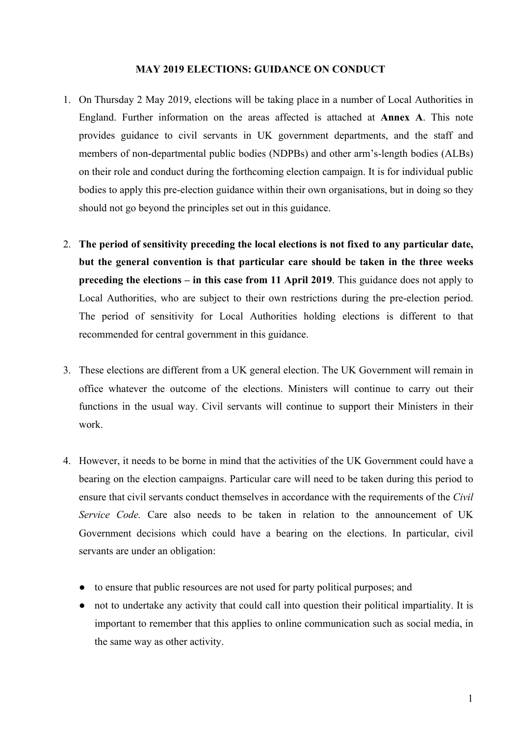#### **MAY 2019 ELECTIONS: GUIDANCE ON CONDUCT**

- 1. On Thursday 2 May 2019, elections will be taking place in a number of Local Authorities in England. Further information on the areas affected is attached at **Annex A**. This note provides guidance to civil servants in UK government departments, and the staff and members of non-departmental public bodies (NDPBs) and other arm's-length bodies (ALBs) on their role and conduct during the forthcoming election campaign. It is for individual public bodies to apply this pre-election guidance within their own organisations, but in doing so they should not go beyond the principles set out in this guidance.
- 2. **The period of sensitivity preceding the local elections is not fixed to any particular date, but the general convention is that particular care should be taken in the three weeks preceding the elections – in this case from 11 April 2019**. This guidance does not apply to Local Authorities, who are subject to their own restrictions during the pre-election period. The period of sensitivity for Local Authorities holding elections is different to that recommended for central government in this guidance.
- 3. These elections are different from a UK general election. The UK Government will remain in office whatever the outcome of the elections. Ministers will continue to carry out their functions in the usual way. Civil servants will continue to support their Ministers in their work.
- 4. However, it needs to be borne in mind that the activities of the UK Government could have a bearing on the election campaigns. Particular care will need to be taken during this period to ensure that civil servants conduct themselves in accordance with the requirements of the *Civil Service Code.* Care also needs to be taken in relation to the announcement of UK Government decisions which could have a bearing on the elections. In particular, civil servants are under an obligation:
	- to ensure that public resources are not used for party political purposes; and
	- not to undertake any activity that could call into question their political impartiality. It is important to remember that this applies to online communication such as social media, in the same way as other activity.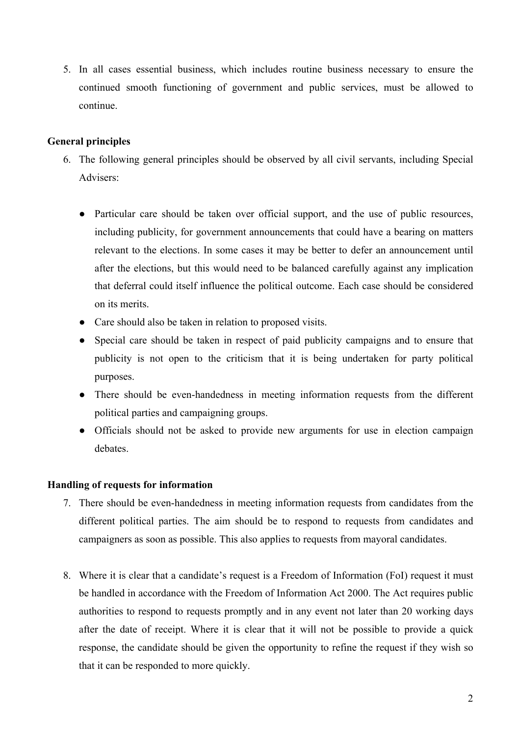5. In all cases essential business, which includes routine business necessary to ensure the continued smooth functioning of government and public services, must be allowed to continue.

### **General principles**

- 6. The following general principles should be observed by all civil servants, including Special Advisers:
	- Particular care should be taken over official support, and the use of public resources, including publicity, for government announcements that could have a bearing on matters relevant to the elections. In some cases it may be better to defer an announcement until after the elections, but this would need to be balanced carefully against any implication that deferral could itself influence the political outcome. Each case should be considered on its merits.
	- Care should also be taken in relation to proposed visits.
	- Special care should be taken in respect of paid publicity campaigns and to ensure that publicity is not open to the criticism that it is being undertaken for party political purposes.
	- There should be even-handedness in meeting information requests from the different political parties and campaigning groups.
	- Officials should not be asked to provide new arguments for use in election campaign debates.

### **Handling of requests for information**

- 7. There should be even-handedness in meeting information requests from candidates from the different political parties. The aim should be to respond to requests from candidates and campaigners as soon as possible. This also applies to requests from mayoral candidates.
- 8. Where it is clear that a candidate's request is a Freedom of Information (FoI) request it must be handled in accordance with the Freedom of Information Act 2000. The Act requires public authorities to respond to requests promptly and in any event not later than 20 working days after the date of receipt. Where it is clear that it will not be possible to provide a quick response, the candidate should be given the opportunity to refine the request if they wish so that it can be responded to more quickly.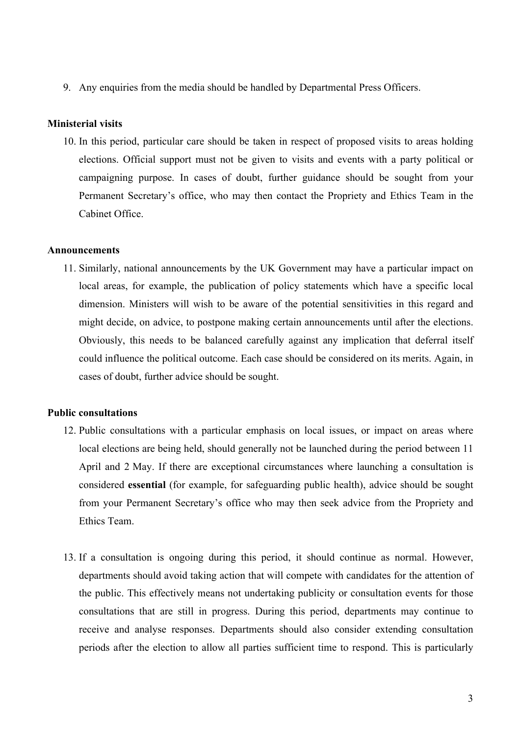9. Any enquiries from the media should be handled by Departmental Press Officers.

#### **Ministerial visits**

10. In this period, particular care should be taken in respect of proposed visits to areas holding elections. Official support must not be given to visits and events with a party political or campaigning purpose. In cases of doubt, further guidance should be sought from your Permanent Secretary's office, who may then contact the Propriety and Ethics Team in the Cabinet Office.

#### **Announcements**

11. Similarly, national announcements by the UK Government may have a particular impact on local areas, for example, the publication of policy statements which have a specific local dimension. Ministers will wish to be aware of the potential sensitivities in this regard and might decide, on advice, to postpone making certain announcements until after the elections. Obviously, this needs to be balanced carefully against any implication that deferral itself could influence the political outcome. Each case should be considered on its merits. Again, in cases of doubt, further advice should be sought.

#### **Public consultations**

- 12. Public consultations with a particular emphasis on local issues, or impact on areas where local elections are being held, should generally not be launched during the period between 11 April and 2 May. If there are exceptional circumstances where launching a consultation is considered **essential** (for example, for safeguarding public health), advice should be sought from your Permanent Secretary's office who may then seek advice from the Propriety and Ethics Team.
- 13. If a consultation is ongoing during this period, it should continue as normal. However, departments should avoid taking action that will compete with candidates for the attention of the public. This effectively means not undertaking publicity or consultation events for those consultations that are still in progress. During this period, departments may continue to receive and analyse responses. Departments should also consider extending consultation periods after the election to allow all parties sufficient time to respond. This is particularly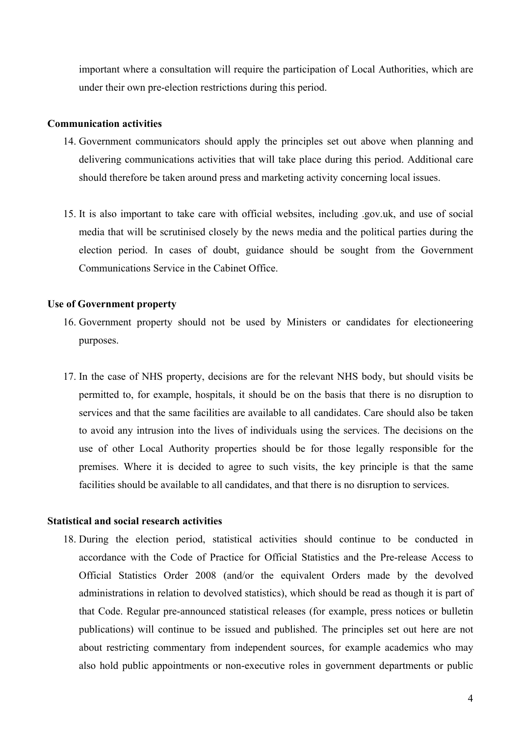important where a consultation will require the participation of Local Authorities, which are under their own pre-election restrictions during this period.

#### **Communication activities**

- 14. Government communicators should apply the principles set out above when planning and delivering communications activities that will take place during this period. Additional care should therefore be taken around press and marketing activity concerning local issues.
- 15. It is also important to take care with official websites, including .gov.uk, and use of social media that will be scrutinised closely by the news media and the political parties during the election period. In cases of doubt, guidance should be sought from the Government Communications Service in the Cabinet Office.

#### **Use of Government property**

- 16. Government property should not be used by Ministers or candidates for electioneering purposes.
- 17. In the case of NHS property, decisions are for the relevant NHS body, but should visits be permitted to, for example, hospitals, it should be on the basis that there is no disruption to services and that the same facilities are available to all candidates. Care should also be taken to avoid any intrusion into the lives of individuals using the services. The decisions on the use of other Local Authority properties should be for those legally responsible for the premises. Where it is decided to agree to such visits, the key principle is that the same facilities should be available to all candidates, and that there is no disruption to services.

#### **Statistical and social research activities**

18. During the election period, statistical activities should continue to be conducted in accordance with the Code of Practice for Official Statistics and the Pre-release Access to Official Statistics Order 2008 (and/or the equivalent Orders made by the devolved administrations in relation to devolved statistics), which should be read as though it is part of that Code. Regular pre-announced statistical releases (for example, press notices or bulletin publications) will continue to be issued and published. The principles set out here are not about restricting commentary from independent sources, for example academics who may also hold public appointments or non-executive roles in government departments or public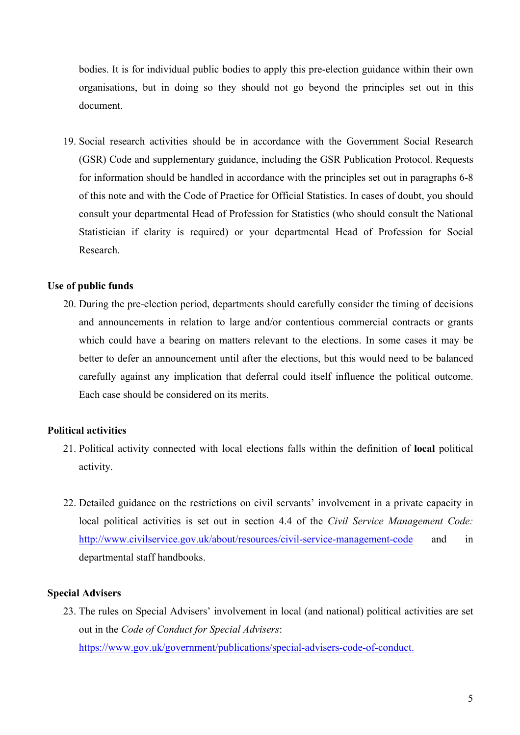bodies. It is for individual public bodies to apply this pre-election guidance within their own organisations, but in doing so they should not go beyond the principles set out in this document.

19. Social research activities should be in accordance with the Government Social Research (GSR) Code and supplementary guidance, including the GSR Publication Protocol. Requests for information should be handled in accordance with the principles set out in paragraphs 6-8 of this note and with the Code of Practice for Official Statistics. In cases of doubt, you should consult your departmental Head of Profession for Statistics (who should consult the National Statistician if clarity is required) or your departmental Head of Profession for Social Research.

#### **Use of public funds**

20. During the pre-election period, departments should carefully consider the timing of decisions and announcements in relation to large and/or contentious commercial contracts or grants which could have a bearing on matters relevant to the elections. In some cases it may be better to defer an announcement until after the elections, but this would need to be balanced carefully against any implication that deferral could itself influence the political outcome. Each case should be considered on its merits.

#### **Political activities**

- 21. Political activity connected with local elections falls within the definition of **local** political activity.
- 22. Detailed guidance on the restrictions on civil servants' involvement in a private capacity in local political activities is set out in section 4.4 of the *Civil Service Management Code:*  http://www.civilservice.gov.uk/about/resources/civil-service-management-code and in departmental staff handbooks.

#### **Special Advisers**

23. The rules on Special Advisers' involvement in local (and national) political activities are set out in the *Code of Conduct for Special Advisers*: https://www.gov.uk/government/publications/special-advisers-code-of-conduct.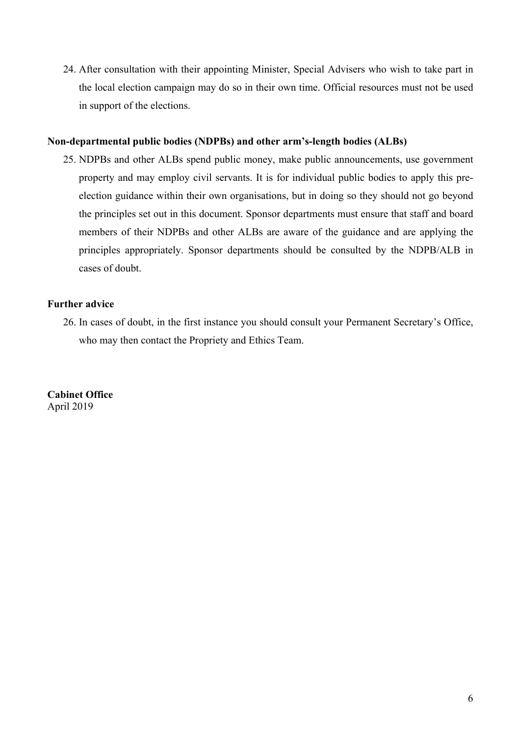24. After consultation with their appointing Minister, Special Advisers who wish to take part in the local election campaign may do so in their own time. Official resources must not be used in support of the elections.

#### **Non-departmental public bodies (NDPBs) and other arm's-length bodies (ALBs)**

25. NDPBs and other ALBs spend public money, make public announcements, use government property and may employ civil servants. It is for individual public bodies to apply this preelection guidance within their own organisations, but in doing so they should not go beyond the principles set out in this document. Sponsor departments must ensure that staff and board members of their NDPBs and other ALBs are aware of the guidance and are applying the principles appropriately. Sponsor departments should be consulted by the NDPB/ALB in cases of doubt.

### **Further advice**

26. In cases of doubt, in the first instance you should consult your Permanent Secretary's Office, who may then contact the Propriety and Ethics Team.

**Cabinet Office** April 2019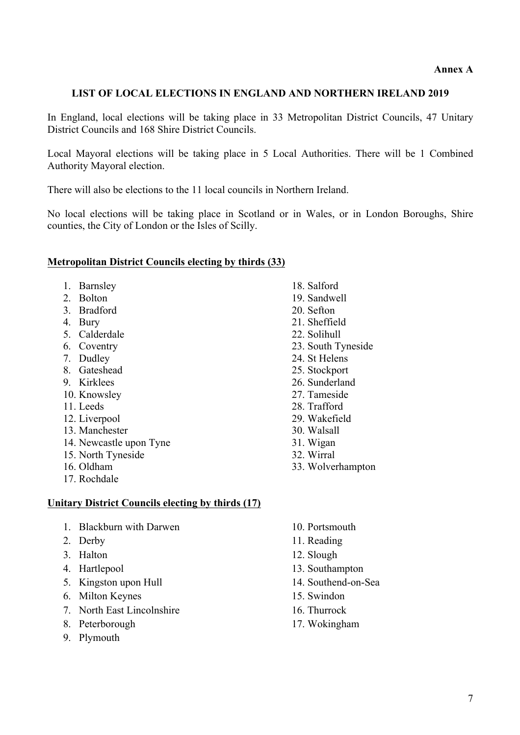## **LIST OF LOCAL ELECTIONS IN ENGLAND AND NORTHERN IRELAND 2019**

In England, local elections will be taking place in 33 Metropolitan District Councils, 47 Unitary District Councils and 168 Shire District Councils.

Local Mayoral elections will be taking place in 5 Local Authorities. There will be 1 Combined Authority Mayoral election.

There will also be elections to the 11 local councils in Northern Ireland.

No local elections will be taking place in Scotland or in Wales, or in London Boroughs, Shire counties, the City of London or the Isles of Scilly.

### **Metropolitan District Councils electing by thirds (33)**

- 1. Barnsley
- 2. Bolton
- 3. Bradford
- 4. Bury
- 5. Calderdale
- 6. Coventry
- 7. Dudley
- 8. Gateshead
- 9. Kirklees
- 10. Knowsley
- 11. Leeds
- 12. Liverpool
- 13. Manchester
- 14. Newcastle upon Tyne
- 15. North Tyneside
- 16. Oldham
- 17. Rochdale

# **Unitary District Councils electing by thirds (17)**

- 1. Blackburn with Darwen
- 2. Derby
- 3. Halton
- 4. Hartlepool
- 5. Kingston upon Hull
- 6. Milton Keynes
- 7. North East Lincolnshire
- 8. Peterborough
- 9. Plymouth

10. Portsmouth

33. Wolverhampton

11. Reading

18. Salford 19. Sandwell 20. Sefton 21. Sheffield 22. Solihull

23. South Tyneside 24. St Helens 25. Stockport 26. Sunderland 27. Tameside 28. Trafford 29. Wakefield 30. Walsall 31. Wigan 32. Wirral

- 12. Slough
- 13. Southampton
- 14. Southend-on-Sea
- 15. Swindon
- 16. Thurrock
- 17. Wokingham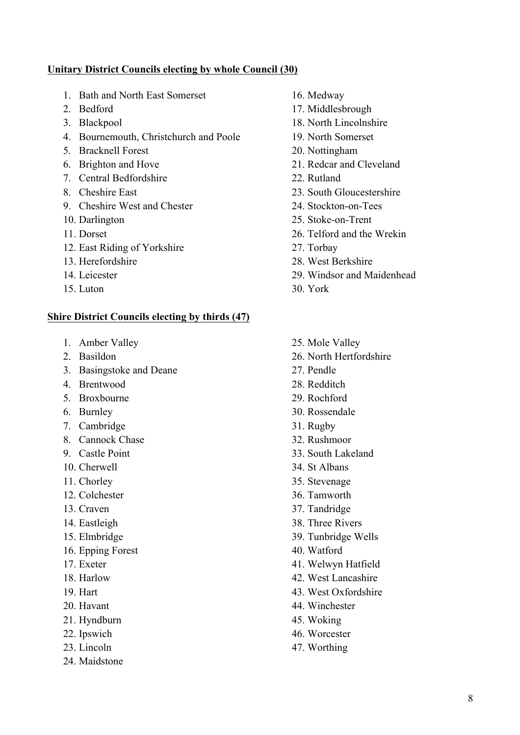### **Unitary District Councils electing by whole Council (30)**

- 1. Bath and North East Somerset
- 2. Bedford
- 3. Blackpool
- 4. Bournemouth, Christchurch and Poole
- 5. Bracknell Forest
- 6. Brighton and Hove
- 7. Central Bedfordshire
- 8. Cheshire East
- 9. Cheshire West and Chester
- 10. Darlington
- 11. Dorset
- 12. East Riding of Yorkshire
- 13. Herefordshire
- 14. Leicester
- 15. Luton

### **Shire District Councils electing by thirds (47)**

- 1. Amber Valley
- 2. Basildon
- 3. Basingstoke and Deane
- 4. Brentwood
- 5. Broxbourne
- 6. Burnley
- 7. Cambridge
- 8. Cannock Chase
- 9. Castle Point
- 10. Cherwell
- 11. Chorley
- 12. Colchester
- 13. Craven
- 14. Eastleigh
- 15. Elmbridge
- 16. Epping Forest
- 17. Exeter
- 18. Harlow
- 19. Hart
- 20. Havant
- 21. Hyndburn
- 22. Ipswich
- 23. Lincoln
- 24. Maidstone
- 16. Medway
- 17. Middlesbrough
- 18. North Lincolnshire
- 19. North Somerset
- 20. Nottingham
- 21. Redcar and Cleveland
- 22. Rutland
- 23. South Gloucestershire
- 24. Stockton-on-Tees
- 25. Stoke-on-Trent
- 26. Telford and the Wrekin
- 27. Torbay
- 28. West Berkshire
- 29. Windsor and Maidenhead
- 30. York
- 25. Mole Valley
- 26. North Hertfordshire
- 27. Pendle
- 28. Redditch
- 29. Rochford
- 30. Rossendale
- 31. Rugby
- 32. Rushmoor
- 33. South Lakeland
- 34. St Albans
- 35. Stevenage
- 36. Tamworth
- 37. Tandridge
- 38. Three Rivers
- 39. Tunbridge Wells
- 40. Watford
- 41. Welwyn Hatfield
- 42. West Lancashire
- 43. West Oxfordshire
- 44. Winchester
- 45. Woking
- 46. Worcester
- 47. Worthing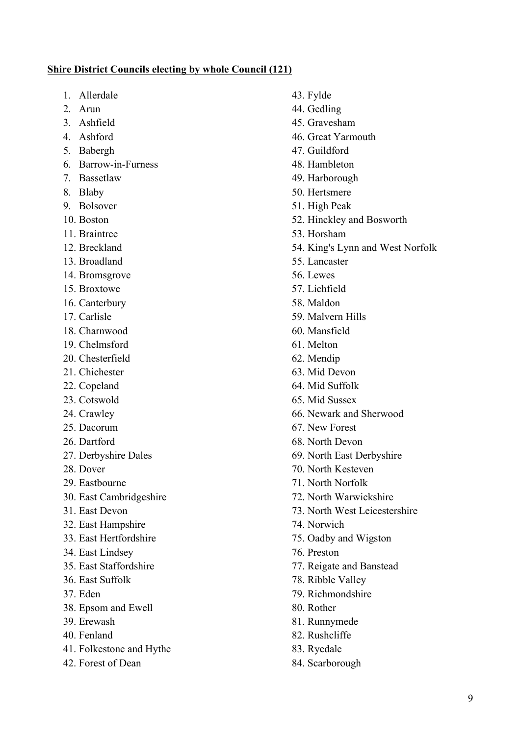### **Shire District Councils electing by whole Council (121)**

- 1. Allerdale
- 2. Arun
- 3. Ashfield
- 4. Ashford
- 5. Babergh
- 6. Barrow-in-Furness
- 7. Bassetlaw
- 8. Blaby
- 9. Bolsover
- 10. Boston
- 11. Braintree
- 12. Breckland
- 13. Broadland
- 14. Bromsgrove
- 15. Broxtowe
- 16. Canterbury
- 17. Carlisle
- 18. Charnwood
- 19. Chelmsford
- 20. Chesterfield
- 21. Chichester
- 22. Copeland
- 23. Cotswold
- 24. Crawley
- 25. Dacorum
- 26. Dartford
- 27. Derbyshire Dales
- 28. Dover
- 29. Eastbourne
- 30. East Cambridgeshire
- 31. East Devon
- 32. East Hampshire
- 33. East Hertfordshire
- 34. East Lindsey
- 35. East Staffordshire
- 36. East Suffolk
- 37. Eden
- 38. Epsom and Ewell
- 39. Erewash
- 40. Fenland
- 41. Folkestone and Hythe
- 42. Forest of Dean
- 43. Fylde 44. Gedling 45. Gravesham 46. Great Yarmouth 47. Guildford 48. Hambleton 49. Harborough 50. Hertsmere 51. High Peak 52. Hinckley and Bosworth 53. Horsham 54. King's Lynn and West Norfolk 55. Lancaster 56. Lewes 57. Lichfield 58. Maldon 59. Malvern Hills 60. Mansfield 61. Melton 62. Mendip 63. Mid Devon 64. Mid Suffolk 65. Mid Sussex 66. Newark and Sherwood 67. New Forest 68. North Devon 69. North East Derbyshire 70. North Kesteven 71. North Norfolk 72. North Warwickshire 73. North West Leicestershire 74. Norwich 75. Oadby and Wigston 76. Preston 77. Reigate and Banstead 78. Ribble Valley 79. Richmondshire 80. Rother
- 81. Runnymede
- 82. Rushcliffe
- 83. Ryedale
- 84. Scarborough